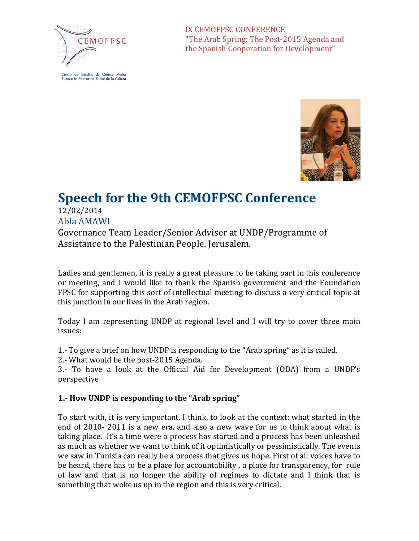

Centro de Estudios de Oriente Medio Eundación Promoción Social de la Cultura

IX CEMOFPSC CONFERENCE "The Arab Spring: The Post-2015 Agenda and the Spanish Cooperation for Development"



# **Speech for the 9th CEMOFPSC Conference**

12/02/2014 Abla AMAWI

Governance Team Leader/Senior Adviser at UNDP/Programme of Assistance to the Palestinian People. Jerusalem.

Ladies and gentlemen, it is really a great pleasure to be taking part in this conference or meeting, and I would like to thank the Spanish government and the Foundation FPSC for supporting this sort of intellectual meeting to discuss a very critical topic at this junction in our lives in the Arab region.

Today I am representing UNDP at regional level and I will try to cover three main issues:

1.- To give a brief on how UNDP is responding to the "Arab spring" as it is called.

2.- What would be the post-2015 Agenda.

3.- To have a look at the Official Aid for Development (ODA) from a UNDP's perspective

## **1.- How UNDP is responding to the "Arab spring"**

To start with, it is very important, I think, to look at the context: what started in the end of 2010- 2011 is a new era, and also a new wave for us to think about what is taking place. It's a time were a process has started and a process has been unleashed as much as whether we want to think of it optimistically or pessimistically. The events we saw in Tunisia can really be a process that gives us hope. First of all voices have to be heard, there has to be a place for accountability , a place for transparency, for rule of law and that is no longer the ability of regimes to dictate and I think that is something that woke us up in the region and this is very critical.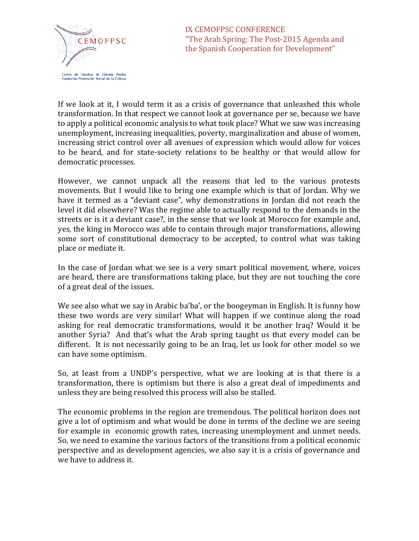

If we look at it, I would term it as a crisis of governance that unleashed this whole transformation. In that respect we cannot look at governance per se, because we have to apply a political economic analysis to what took place? What we saw was increasing unemployment, increasing inequalities, poverty, marginalization and abuse of women, increasing strict control over all avenues of expression which would allow for voices to be heard, and for state-society relations to be healthy or that would allow for democratic processes.

However, we cannot unpack all the reasons that led to the various protests movements. But I would like to bring one example which is that of Jordan. Why we have it termed as a "deviant case", why demonstrations in Jordan did not reach the level it did elsewhere? Was the regime able to actually respond to the demands in the streets or is it a deviant case?, in the sense that we look at Morocco for example and, yes, the king in Morocco was able to contain through major transformations, allowing some sort of constitutional democracy to be accepted, to control what was taking place or mediate it.

In the case of Jordan what we see is a very smart political movement, where, voices are heard, there are transformations taking place, but they are not touching the core of a great deal of the issues.

We see also what we say in Arabic ba'ba', or the boogeyman in English. It is funny how these two words are very similar! What will happen if we continue along the road asking for real democratic transformations, would it be another Iraq? Would it be another Syria? And that's what the Arab spring taught us that every model can be different. It is not necessarily going to be an Iraq, let us look for other model so we can have some optimism.

So, at least from a UNDP's perspective, what we are looking at is that there is a transformation, there is optimism but there is also a great deal of impediments and unless they are being resolved this process will also be stalled.

The economic problems in the region are tremendous. The political horizon does not give a lot of optimism and what would be done in terms of the decline we are seeing for example in economic growth rates, increasing unemployment and unmet needs. So, we need to examine the various factors of the transitions from a political economic perspective and as development agencies, we also say it is a crisis of governance and we have to address it.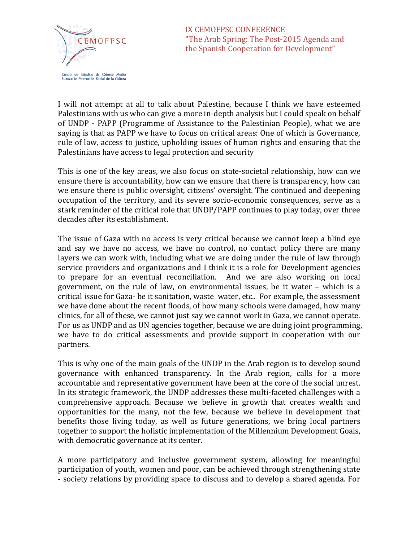

I will not attempt at all to talk about Palestine, because I think we have esteemed Palestinians with us who can give a more in-depth analysis but I could speak on behalf of UNDP - PAPP (Programme of Assistance to the Palestinian People), what we are saying is that as PAPP we have to focus on critical areas: One of which is Governance, rule of law, access to justice, upholding issues of human rights and ensuring that the Palestinians have access to legal protection and security

This is one of the key areas, we also focus on state-societal relationship, how can we ensure there is accountability, how can we ensure that there is transparency, how can we ensure there is public oversight, citizens' oversight. The continued and deepening occupation of the territory, and its severe socio-economic consequences, serve as a stark reminder of the critical role that UNDP/PAPP continues to play today, over three decades after its establishment.

The issue of Gaza with no access is very critical because we cannot keep a blind eye and say we have no access, we have no control, no contact policy there are many layers we can work with, including what we are doing under the rule of law through service providers and organizations and I think it is a role for Development agencies to prepare for an eventual reconciliation. And we are also working on local government, on the rule of law, on environmental issues, be it water – which is a critical issue for Gaza- be it sanitation, waste water, etc.. For example, the assessment we have done about the recent floods, of how many schools were damaged, how many clinics, for all of these, we cannot just say we cannot work in Gaza, we cannot operate. For us as UNDP and as UN agencies together, because we are doing joint programming, we have to do critical assessments and provide support in cooperation with our partners.

This is why one of the main goals of the UNDP in the Arab region is to develop sound governance with enhanced transparency. In the Arab region, calls for a more accountable and representative government have been at the core of the social unrest. In its strategic framework, the UNDP addresses these multi-faceted challenges with a comprehensive approach. Because we believe in growth that creates wealth and opportunities for the many, not the few, because we believe in development that benefits those living today, as well as future generations, we bring local partners together to support the holistic implementation of the Millennium Development Goals, with democratic governance at its center.

A more participatory and inclusive government system, allowing for meaningful participation of youth, women and poor, can be achieved through strengthening state - society relations by providing space to discuss and to develop a shared agenda. For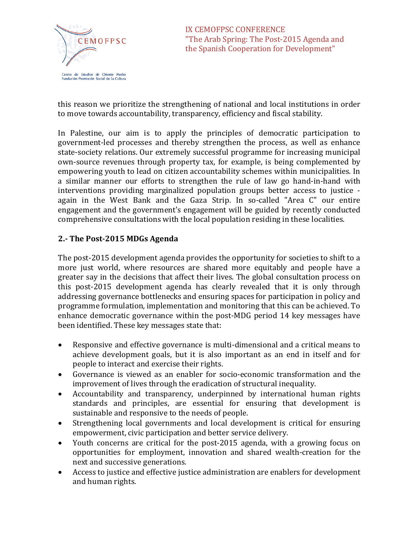

this reason we prioritize the strengthening of national and local institutions in order to move towards accountability, transparency, efficiency and fiscal stability.

In Palestine, our aim is to apply the principles of democratic participation to government-led processes and thereby strengthen the process, as well as enhance state-society relations. Our extremely successful programme for increasing municipal own-source revenues through property tax, for example, is being complemented by empowering youth to lead on citizen accountability schemes within municipalities. In a similar manner our efforts to strengthen the rule of law go hand-in-hand with interventions providing marginalized population groups better access to justice again in the West Bank and the Gaza Strip. In so-called "Area C" our entire engagement and the government's engagement will be guided by recently conducted comprehensive consultations with the local population residing in these localities.

## **2.- The Post-2015 MDGs Agenda**

The post-2015 development agenda provides the opportunity for societies to shift to a more just world, where resources are shared more equitably and people have a greater say in the decisions that affect their lives. The global consultation process on this post-2015 development agenda has clearly revealed that it is only through addressing governance bottlenecks and ensuring spaces for participation in policy and programme formulation, implementation and monitoring that this can be achieved. To enhance democratic governance within the post-MDG period 14 key messages have been identified. These key messages state that:

- Responsive and effective governance is multi-dimensional and a critical means to achieve development goals, but it is also important as an end in itself and for people to interact and exercise their rights.
- Governance is viewed as an enabler for socio-economic transformation and the improvement of lives through the eradication of structural inequality.
- Accountability and transparency, underpinned by international human rights standards and principles, are essential for ensuring that development is sustainable and responsive to the needs of people.
- Strengthening local governments and local development is critical for ensuring empowerment, civic participation and better service delivery.
- Youth concerns are critical for the post-2015 agenda, with a growing focus on opportunities for employment, innovation and shared wealth-creation for the next and successive generations.
- Access to justice and effective justice administration are enablers for development and human rights.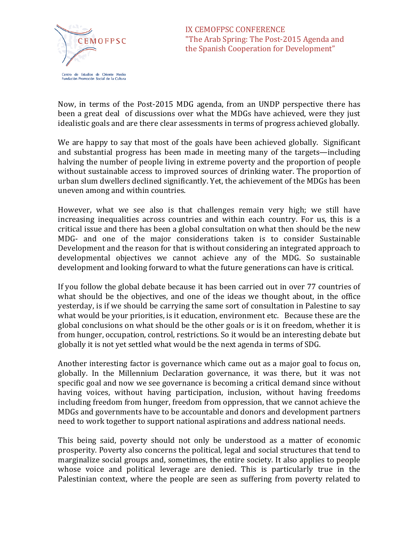

Now, in terms of the Post-2015 MDG agenda, from an UNDP perspective there has been a great deal of discussions over what the MDGs have achieved, were they just idealistic goals and are there clear assessments in terms of progress achieved globally.

We are happy to say that most of the goals have been achieved globally. Significant and substantial progress has been made in meeting many of the targets—including halving the number of people living in extreme poverty and the proportion of people without sustainable access to improved sources of drinking water. The proportion of urban slum dwellers declined significantly. Yet, the achievement of the MDGs has been uneven among and within countries.

However, what we see also is that challenges remain very high; we still have increasing inequalities across countries and within each country. For us, this is a critical issue and there has been a global consultation on what then should be the new MDG- and one of the major considerations taken is to consider Sustainable Development and the reason for that is without considering an integrated approach to developmental objectives we cannot achieve any of the MDG. So sustainable development and looking forward to what the future generations can have is critical.

If you follow the global debate because it has been carried out in over 77 countries of what should be the objectives, and one of the ideas we thought about, in the office yesterday, is if we should be carrying the same sort of consultation in Palestine to say what would be your priorities, is it education, environment etc. Because these are the global conclusions on what should be the other goals or is it on freedom, whether it is from hunger, occupation, control, restrictions. So it would be an interesting debate but globally it is not yet settled what would be the next agenda in terms of SDG.

Another interesting factor is governance which came out as a major goal to focus on, globally. In the Millennium Declaration governance, it was there, but it was not specific goal and now we see governance is becoming a critical demand since without having voices, without having participation, inclusion, without having freedoms including freedom from hunger, freedom from oppression, that we cannot achieve the MDGs and governments have to be accountable and donors and development partners need to work together to support national aspirations and address national needs.

This being said, poverty should not only be understood as a matter of economic prosperity. Poverty also concerns the political, legal and social structures that tend to marginalize social groups and, sometimes, the entire society. It also applies to people whose voice and political leverage are denied. This is particularly true in the Palestinian context, where the people are seen as suffering from poverty related to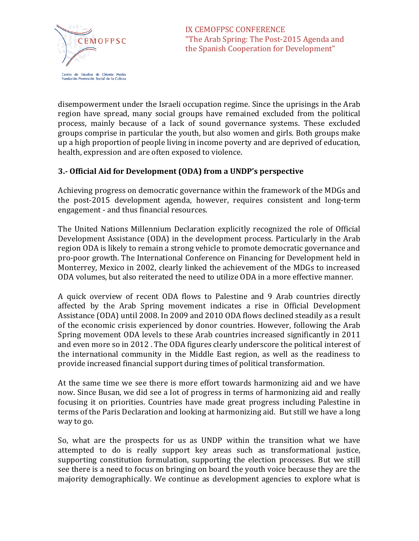

disempowerment under the Israeli occupation regime. Since the uprisings in the Arab region have spread, many social groups have remained excluded from the political process, mainly because of a lack of sound governance systems. These excluded groups comprise in particular the youth, but also women and girls. Both groups make up a high proportion of people living in income poverty and are deprived of education, health, expression and are often exposed to violence.

## **3.- Official Aid for Development (ODA) from a UNDP's perspective**

Achieving progress on democratic governance within the framework of the MDGs and the post-2015 development agenda, however, requires consistent and long-term engagement - and thus financial resources.

The United Nations Millennium Declaration explicitly recognized the role of Official Development Assistance (ODA) in the development process. Particularly in the Arab region ODA is likely to remain a strong vehicle to promote democratic governance and pro-poor growth. The International Conference on Financing for Development held in Monterrey, Mexico in 2002, clearly linked the achievement of the MDGs to increased ODA volumes, but also reiterated the need to utilize ODA in a more effective manner.

A quick overview of recent ODA flows to Palestine and 9 Arab countries directly affected by the Arab Spring movement indicates a rise in Official Development Assistance (ODA) until 2008. In 2009 and 2010 ODA flows declined steadily as a result of the economic crisis experienced by donor countries. However, following the Arab Spring movement ODA levels to these Arab countries increased significantly in 2011 and even more so in 2012 . The ODA figures clearly underscore the political interest of the international community in the Middle East region, as well as the readiness to provide increased financial support during times of political transformation.

At the same time we see there is more effort towards harmonizing aid and we have now. Since Busan, we did see a lot of progress in terms of harmonizing aid and really focusing it on priorities. Countries have made great progress including Palestine in terms of the Paris Declaration and looking at harmonizing aid. But still we have a long way to go.

So, what are the prospects for us as UNDP within the transition what we have attempted to do is really support key areas such as transformational justice, supporting constitution formulation, supporting the election processes. But we still see there is a need to focus on bringing on board the youth voice because they are the majority demographically. We continue as development agencies to explore what is